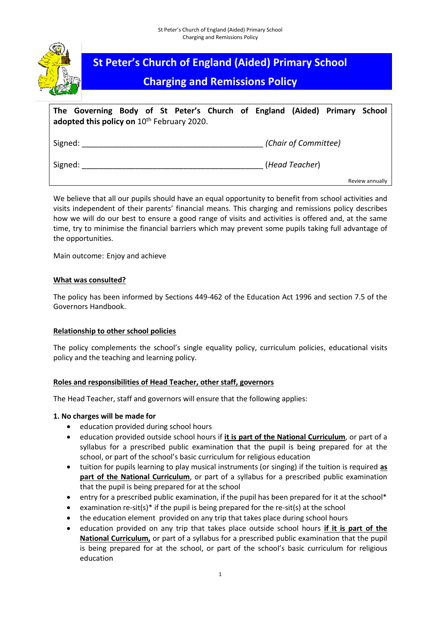

# **St Peter's Church of England (Aided) Primary School**

# **Charging and Remissions Policy**

|         | The Governing Body of St Peter's Church of England (Aided) Primary School<br>adopted this policy on 10 <sup>th</sup> February 2020. |  |  |  |                      |                 |
|---------|-------------------------------------------------------------------------------------------------------------------------------------|--|--|--|----------------------|-----------------|
| Signed: |                                                                                                                                     |  |  |  | (Chair of Committee) |                 |
| Signed: |                                                                                                                                     |  |  |  | (Head Teacher)       |                 |
|         |                                                                                                                                     |  |  |  |                      | Review annually |

We believe that all our pupils should have an equal opportunity to benefit from school activities and visits independent of their parents' financial means. This charging and remissions policy describes how we will do our best to ensure a good range of visits and activities is offered and, at the same time, try to minimise the financial barriers which may prevent some pupils taking full advantage of the opportunities.

Main outcome: Enjoy and achieve

### **What was consulted?**

The policy has been informed by Sections 449-462 of the Education Act 1996 and section 7.5 of the Governors Handbook.

#### **Relationship to other school policies**

The policy complements the school's single equality policy, curriculum policies, educational visits policy and the teaching and learning policy.

### **Roles and responsibilities of Head Teacher, other staff, governors**

The Head Teacher, staff and governors will ensure that the following applies:

#### **1. No charges will be made for**

- education provided during school hours
- education provided outside school hours if **it is part of the National Curriculum**, or part of a syllabus for a prescribed public examination that the pupil is being prepared for at the school, or part of the school's basic curriculum for religious education
- tuition for pupils learning to play musical instruments (or singing) if the tuition is required **as part of the National Curriculum**, or part of a syllabus for a prescribed public examination that the pupil is being prepared for at the school
- entry for a prescribed public examination, if the pupil has been prepared for it at the school\*
- examination re-sit(s) $*$  if the pupil is being prepared for the re-sit(s) at the school
- the education element provided on any trip that takes place during school hours
- education provided on any trip that takes place outside school hours **if it is part of the National Curriculum,** or part of a syllabus for a prescribed public examination that the pupil is being prepared for at the school, or part of the school's basic curriculum for religious education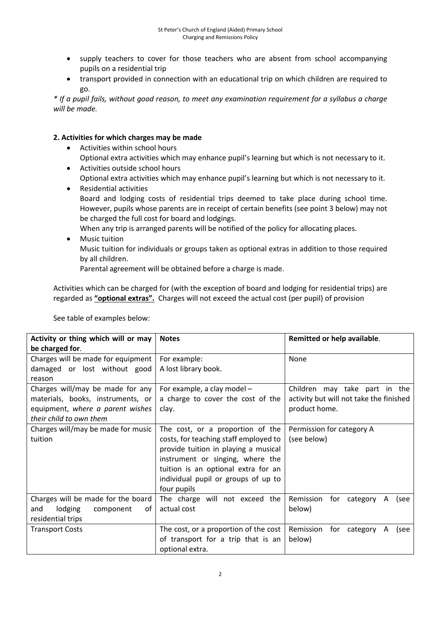- supply teachers to cover for those teachers who are absent from school accompanying pupils on a residential trip
- transport provided in connection with an educational trip on which children are required to go.

*\* If a pupil fails, without good reason, to meet any examination requirement for a syllabus a charge will be made.*

### **2. Activities for which charges may be made**

- Activities within school hours Optional extra activities which may enhance pupil's learning but which is not necessary to it.
- Activities outside school hours Optional extra activities which may enhance pupil's learning but which is not necessary to it.
- Residential activities Board and lodging costs of residential trips deemed to take place during school time. However, pupils whose parents are in receipt of certain benefits (see point 3 below) may not be charged the full cost for board and lodgings. When any trip is arranged parents will be notified of the policy for allocating places.
- Music tuition

Music tuition for individuals or groups taken as optional extras in addition to those required by all children.

Parental agreement will be obtained before a charge is made.

Activities which can be charged for (with the exception of board and lodging for residential trips) are regarded as **"optional extras".** Charges will not exceed the actual cost (per pupil) of provision

| Activity or thing which will or may | <b>Notes</b>                              | Remitted or help available.             |  |  |  |  |
|-------------------------------------|-------------------------------------------|-----------------------------------------|--|--|--|--|
| be charged for.                     |                                           |                                         |  |  |  |  |
| Charges will be made for equipment  | For example:                              | None                                    |  |  |  |  |
| damaged or lost without good        | A lost library book.                      |                                         |  |  |  |  |
| reason                              |                                           |                                         |  |  |  |  |
| Charges will/may be made for any    | For example, a clay model -               | Children may take part in the           |  |  |  |  |
| materials, books, instruments, or   | a charge to cover the cost of the         | activity but will not take the finished |  |  |  |  |
| equipment, where a parent wishes    | clay.                                     | product home.                           |  |  |  |  |
| their child to own them             |                                           |                                         |  |  |  |  |
| Charges will/may be made for music  | The cost, or a proportion of the          | Permission for category A               |  |  |  |  |
| tuition                             | costs, for teaching staff employed to     | (see below)                             |  |  |  |  |
|                                     | provide tuition in playing a musical      |                                         |  |  |  |  |
|                                     | instrument or singing, where the          |                                         |  |  |  |  |
|                                     | tuition is an optional extra for an       |                                         |  |  |  |  |
|                                     | individual pupil or groups of up to       |                                         |  |  |  |  |
|                                     | four pupils                               |                                         |  |  |  |  |
| Charges will be made for the board  | The charge will not exceed the            | Remission<br>for category<br>A<br>(see  |  |  |  |  |
| lodging<br>and<br>component<br>of   | actual cost                               | below)                                  |  |  |  |  |
| residential trips                   |                                           |                                         |  |  |  |  |
| <b>Transport Costs</b>              | The cost, or a proportion of the cost $ $ | Remission<br>for category<br>A<br>(see  |  |  |  |  |
|                                     | of transport for a trip that is an        | below)                                  |  |  |  |  |
|                                     | optional extra.                           |                                         |  |  |  |  |

See table of examples below: